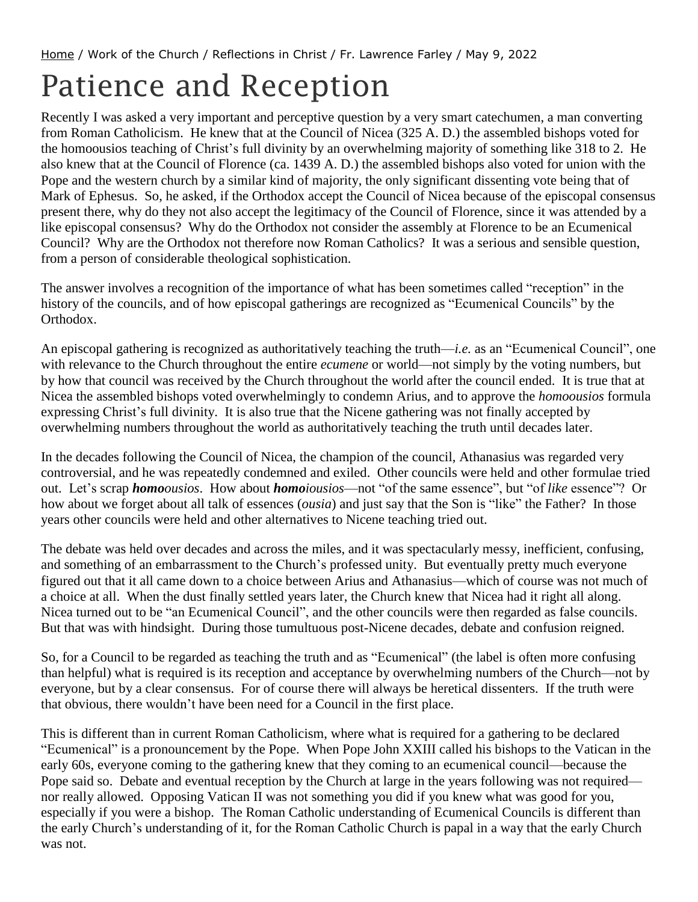## Patience and Reception

Recently I was asked a very important and perceptive question by a very smart catechumen, a man converting from Roman Catholicism. He knew that at the Council of Nicea (325 A. D.) the assembled bishops voted for the homoousios teaching of Christ's full divinity by an overwhelming majority of something like 318 to 2. He also knew that at the Council of Florence (ca. 1439 A. D.) the assembled bishops also voted for union with the Pope and the western church by a similar kind of majority, the only significant dissenting vote being that of Mark of Ephesus. So, he asked, if the Orthodox accept the Council of Nicea because of the episcopal consensus present there, why do they not also accept the legitimacy of the Council of Florence, since it was attended by a like episcopal consensus? Why do the Orthodox not consider the assembly at Florence to be an Ecumenical Council? Why are the Orthodox not therefore now Roman Catholics? It was a serious and sensible question, from a person of considerable theological sophistication.

The answer involves a recognition of the importance of what has been sometimes called "reception" in the history of the councils, and of how episcopal gatherings are recognized as "Ecumenical Councils" by the Orthodox.

An episcopal gathering is recognized as authoritatively teaching the truth—*i.e.* as an "Ecumenical Council", one with relevance to the Church throughout the entire *ecumene* or world—not simply by the voting numbers, but by how that council was received by the Church throughout the world after the council ended. It is true that at Nicea the assembled bishops voted overwhelmingly to condemn Arius, and to approve the *homoousios* formula expressing Christ's full divinity. It is also true that the Nicene gathering was not finally accepted by overwhelming numbers throughout the world as authoritatively teaching the truth until decades later.

In the decades following the Council of Nicea, the champion of the council, Athanasius was regarded very controversial, and he was repeatedly condemned and exiled. Other councils were held and other formulae tried out. Let's scrap *homoousios*. How about *homoiousios*—not "of the same essence", but "of *like* essence"? Or how about we forget about all talk of essences (*ousia*) and just say that the Son is "like" the Father? In those years other councils were held and other alternatives to Nicene teaching tried out.

The debate was held over decades and across the miles, and it was spectacularly messy, inefficient, confusing, and something of an embarrassment to the Church's professed unity. But eventually pretty much everyone figured out that it all came down to a choice between Arius and Athanasius—which of course was not much of a choice at all. When the dust finally settled years later, the Church knew that Nicea had it right all along. Nicea turned out to be "an Ecumenical Council", and the other councils were then regarded as false councils. But that was with hindsight. During those tumultuous post-Nicene decades, debate and confusion reigned.

So, for a Council to be regarded as teaching the truth and as "Ecumenical" (the label is often more confusing than helpful) what is required is its reception and acceptance by overwhelming numbers of the Church—not by everyone, but by a clear consensus. For of course there will always be heretical dissenters. If the truth were that obvious, there wouldn't have been need for a Council in the first place.

This is different than in current Roman Catholicism, where what is required for a gathering to be declared "Ecumenical" is a pronouncement by the Pope. When Pope John XXIII called his bishops to the Vatican in the early 60s, everyone coming to the gathering knew that they coming to an ecumenical council—because the Pope said so. Debate and eventual reception by the Church at large in the years following was not required nor really allowed. Opposing Vatican II was not something you did if you knew what was good for you, especially if you were a bishop. The Roman Catholic understanding of Ecumenical Councils is different than the early Church's understanding of it, for the Roman Catholic Church is papal in a way that the early Church was not.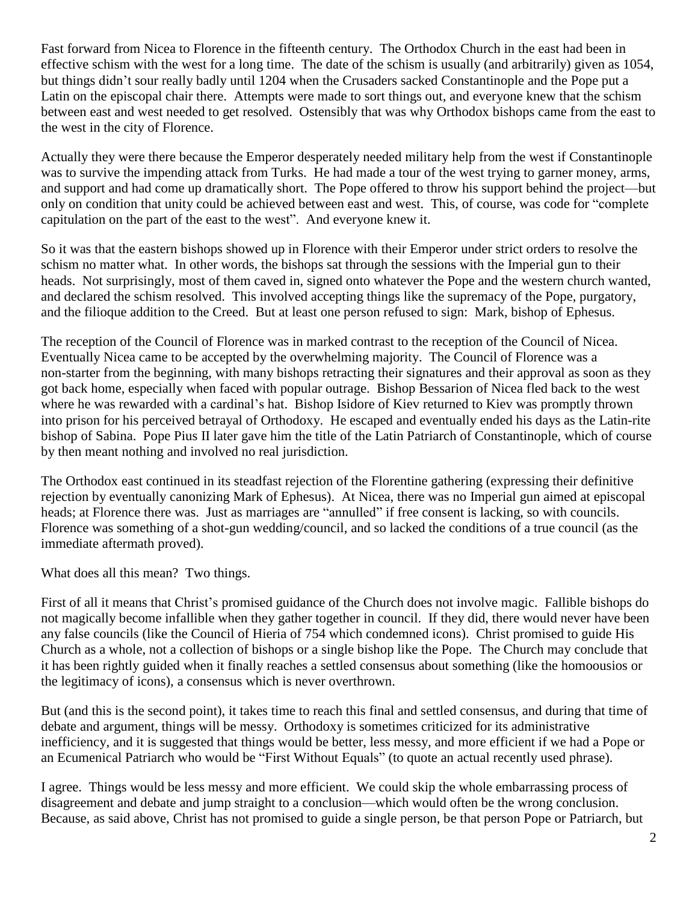Fast forward from Nicea to Florence in the fifteenth century. The Orthodox Church in the east had been in effective schism with the west for a long time. The date of the schism is usually (and arbitrarily) given as 1054, but things didn't sour really badly until 1204 when the Crusaders sacked Constantinople and the Pope put a Latin on the episcopal chair there. Attempts were made to sort things out, and everyone knew that the schism between east and west needed to get resolved. Ostensibly that was why Orthodox bishops came from the east to the west in the city of Florence.

Actually they were there because the Emperor desperately needed military help from the west if Constantinople was to survive the impending attack from Turks. He had made a tour of the west trying to garner money, arms, and support and had come up dramatically short. The Pope offered to throw his support behind the project—but only on condition that unity could be achieved between east and west. This, of course, was code for "complete capitulation on the part of the east to the west". And everyone knew it.

So it was that the eastern bishops showed up in Florence with their Emperor under strict orders to resolve the schism no matter what. In other words, the bishops sat through the sessions with the Imperial gun to their heads. Not surprisingly, most of them caved in, signed onto whatever the Pope and the western church wanted, and declared the schism resolved. This involved accepting things like the supremacy of the Pope, purgatory, and the filioque addition to the Creed. But at least one person refused to sign: Mark, bishop of Ephesus.

The reception of the Council of Florence was in marked contrast to the reception of the Council of Nicea. Eventually Nicea came to be accepted by the overwhelming majority. The Council of Florence was a non-starter from the beginning, with many bishops retracting their signatures and their approval as soon as they got back home, especially when faced with popular outrage. Bishop Bessarion of Nicea fled back to the west where he was rewarded with a cardinal's hat. Bishop Isidore of Kiev returned to Kiev was promptly thrown into prison for his perceived betrayal of Orthodoxy. He escaped and eventually ended his days as the Latin-rite bishop of Sabina. Pope Pius II later gave him the title of the Latin Patriarch of Constantinople, which of course by then meant nothing and involved no real jurisdiction.

The Orthodox east continued in its steadfast rejection of the Florentine gathering (expressing their definitive rejection by eventually canonizing Mark of Ephesus). At Nicea, there was no Imperial gun aimed at episcopal heads; at Florence there was. Just as marriages are "annulled" if free consent is lacking, so with councils. Florence was something of a shot-gun wedding/council, and so lacked the conditions of a true council (as the immediate aftermath proved).

What does all this mean? Two things.

First of all it means that Christ's promised guidance of the Church does not involve magic. Fallible bishops do not magically become infallible when they gather together in council. If they did, there would never have been any false councils (like the Council of Hieria of 754 which condemned icons). Christ promised to guide His Church as a whole, not a collection of bishops or a single bishop like the Pope. The Church may conclude that it has been rightly guided when it finally reaches a settled consensus about something (like the homoousios or the legitimacy of icons), a consensus which is never overthrown.

But (and this is the second point), it takes time to reach this final and settled consensus, and during that time of debate and argument, things will be messy. Orthodoxy is sometimes criticized for its administrative inefficiency, and it is suggested that things would be better, less messy, and more efficient if we had a Pope or an Ecumenical Patriarch who would be "First Without Equals" (to quote an actual recently used phrase).

I agree. Things would be less messy and more efficient. We could skip the whole embarrassing process of disagreement and debate and jump straight to a conclusion—which would often be the wrong conclusion. Because, as said above, Christ has not promised to guide a single person, be that person Pope or Patriarch, but